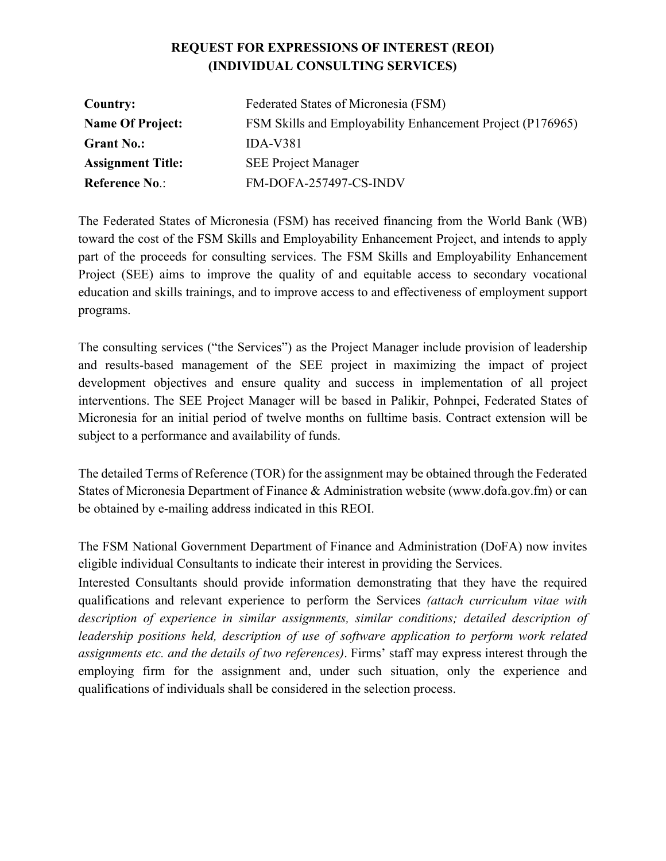# **REQUEST FOR EXPRESSIONS OF INTEREST (REOI) (INDIVIDUAL CONSULTING SERVICES)**

| <b>Country:</b>          | Federated States of Micronesia (FSM)                       |
|--------------------------|------------------------------------------------------------|
| <b>Name Of Project:</b>  | FSM Skills and Employability Enhancement Project (P176965) |
| <b>Grant No.:</b>        | $IDA-V381$                                                 |
| <b>Assignment Title:</b> | <b>SEE Project Manager</b>                                 |
| <b>Reference No.:</b>    | FM-DOFA-257497-CS-INDV                                     |

The Federated States of Micronesia (FSM) has received financing from the World Bank (WB) toward the cost of the FSM Skills and Employability Enhancement Project, and intends to apply part of the proceeds for consulting services. The FSM Skills and Employability Enhancement Project (SEE) aims to improve the quality of and equitable access to secondary vocational education and skills trainings, and to improve access to and effectiveness of employment support programs.

The consulting services ("the Services") as the Project Manager include provision of leadership and results-based management of the SEE project in maximizing the impact of project development objectives and ensure quality and success in implementation of all project interventions. The SEE Project Manager will be based in Palikir, Pohnpei, Federated States of Micronesia for an initial period of twelve months on fulltime basis. Contract extension will be subject to a performance and availability of funds.

The detailed Terms of Reference (TOR) for the assignment may be obtained through the Federated States of Micronesia Department of Finance & Administration website (www.dofa.gov.fm) or can be obtained by e-mailing address indicated in this REOI.

The FSM National Government Department of Finance and Administration (DoFA) now invites eligible individual Consultants to indicate their interest in providing the Services.

Interested Consultants should provide information demonstrating that they have the required qualifications and relevant experience to perform the Services *(attach curriculum vitae with description of experience in similar assignments, similar conditions; detailed description of leadership positions held, description of use of software application to perform work related assignments etc. and the details of two references)*. Firms' staff may express interest through the employing firm for the assignment and, under such situation, only the experience and qualifications of individuals shall be considered in the selection process.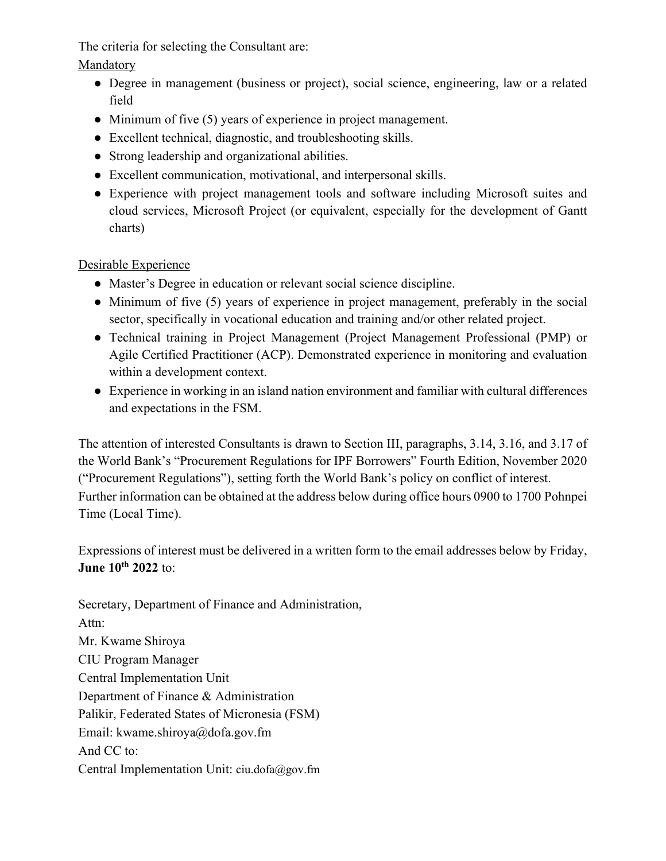The criteria for selecting the Consultant are:

Mandatory

- Degree in management (business or project), social science, engineering, law or a related field
- Minimum of five (5) years of experience in project management.
- Excellent technical, diagnostic, and troubleshooting skills.
- Strong leadership and organizational abilities.
- Excellent communication, motivational, and interpersonal skills.
- Experience with project management tools and software including Microsoft suites and cloud services, Microsoft Project (or equivalent, especially for the development of Gantt charts)

# Desirable Experience

- Master's Degree in education or relevant social science discipline.
- Minimum of five (5) years of experience in project management, preferably in the social sector, specifically in vocational education and training and/or other related project.
- Technical training in Project Management (Project Management Professional (PMP) or Agile Certified Practitioner (ACP). Demonstrated experience in monitoring and evaluation within a development context.
- Experience in working in an island nation environment and familiar with cultural differences and expectations in the FSM.

The attention of interested Consultants is drawn to Section III, paragraphs, 3.14, 3.16, and 3.17 of the World Bank's "Procurement Regulations for IPF Borrowers" Fourth Edition, November 2020 ("Procurement Regulations"), setting forth the World Bank's policy on conflict of interest. Further information can be obtained at the address below during office hours 0900 to 1700 Pohnpei Time (Local Time).

Expressions of interest must be delivered in a written form to the email addresses below by Friday, **June 10th 2022** to:

Secretary, Department of Finance and Administration, Attn: Mr. Kwame Shiroya CIU Program Manager Central Implementation Unit Department of Finance & Administration Palikir, Federated States of Micronesia (FSM) Email: kwame.shiroya@dofa.gov.fm And CC to: Central Implementation Unit: ciu.dofa@gov.fm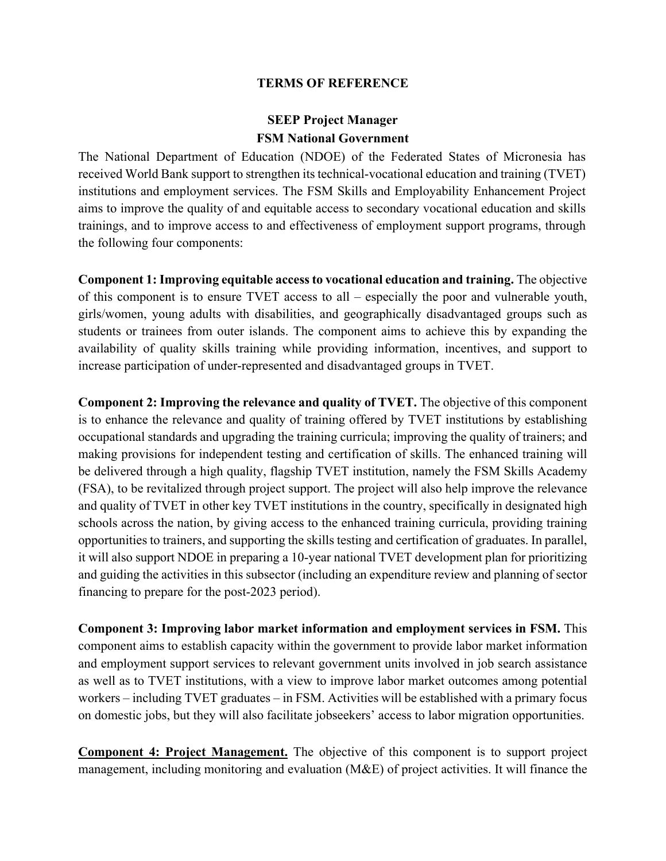#### **TERMS OF REFERENCE**

# **SEEP Project Manager FSM National Government**

The National Department of Education (NDOE) of the Federated States of Micronesia has received World Bank support to strengthen its technical-vocational education and training (TVET) institutions and employment services. The FSM Skills and Employability Enhancement Project aims to improve the quality of and equitable access to secondary vocational education and skills trainings, and to improve access to and effectiveness of employment support programs, through the following four components:

**Component 1: Improving equitable access to vocational education and training.** The objective of this component is to ensure TVET access to all – especially the poor and vulnerable youth, girls/women, young adults with disabilities, and geographically disadvantaged groups such as students or trainees from outer islands. The component aims to achieve this by expanding the availability of quality skills training while providing information, incentives, and support to increase participation of under-represented and disadvantaged groups in TVET.

**Component 2: Improving the relevance and quality of TVET.** The objective of this component is to enhance the relevance and quality of training offered by TVET institutions by establishing occupational standards and upgrading the training curricula; improving the quality of trainers; and making provisions for independent testing and certification of skills. The enhanced training will be delivered through a high quality, flagship TVET institution, namely the FSM Skills Academy (FSA), to be revitalized through project support. The project will also help improve the relevance and quality of TVET in other key TVET institutions in the country, specifically in designated high schools across the nation, by giving access to the enhanced training curricula, providing training opportunities to trainers, and supporting the skills testing and certification of graduates. In parallel, it will also support NDOE in preparing a 10-year national TVET development plan for prioritizing and guiding the activities in this subsector (including an expenditure review and planning of sector financing to prepare for the post-2023 period).

**Component 3: Improving labor market information and employment services in FSM.** This component aims to establish capacity within the government to provide labor market information and employment support services to relevant government units involved in job search assistance as well as to TVET institutions, with a view to improve labor market outcomes among potential workers – including TVET graduates – in FSM. Activities will be established with a primary focus on domestic jobs, but they will also facilitate jobseekers' access to labor migration opportunities.

**Component 4: Project Management.** The objective of this component is to support project management, including monitoring and evaluation (M&E) of project activities. It will finance the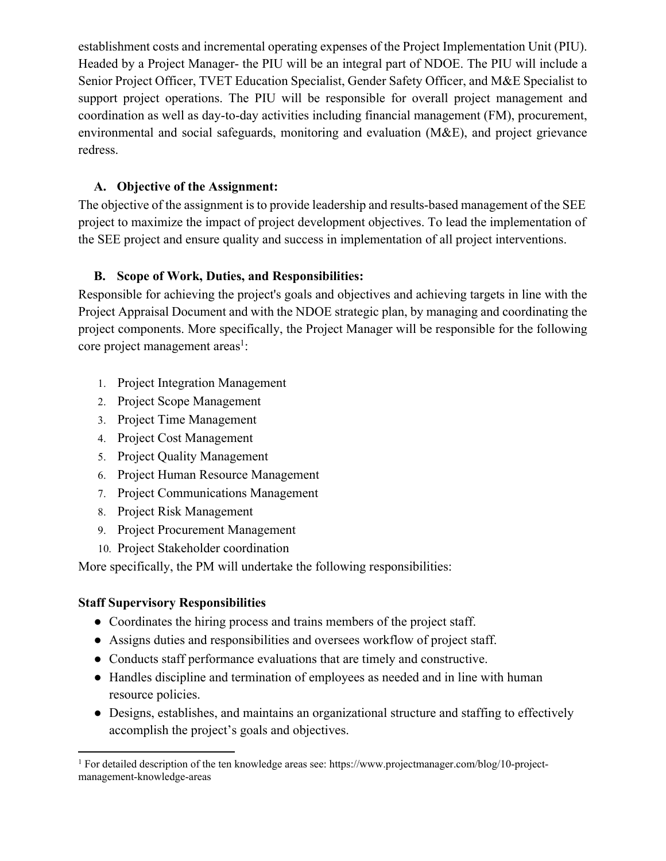establishment costs and incremental operating expenses of the Project Implementation Unit (PIU). Headed by a Project Manager- the PIU will be an integral part of NDOE. The PIU will include a Senior Project Officer, TVET Education Specialist, Gender Safety Officer, and M&E Specialist to support project operations. The PIU will be responsible for overall project management and coordination as well as day-to-day activities including financial management (FM), procurement, environmental and social safeguards, monitoring and evaluation (M&E), and project grievance redress.

#### **A. Objective of the Assignment:**

The objective of the assignment is to provide leadership and results-based management of the SEE project to maximize the impact of project development objectives. To lead the implementation of the SEE project and ensure quality and success in implementation of all project interventions.

#### **B. Scope of Work, Duties, and Responsibilities:**

Responsible for achieving the project's goals and objectives and achieving targets in line with the Project Appraisal Document and with the NDOE strategic plan, by managing and coordinating the project components. More specifically, the Project Manager will be responsible for the following core project management areas<sup>1</sup>:

- 1. Project Integration Management
- 2. Project Scope Management
- 3. Project Time Management
- 4. Project Cost Management
- 5. Project Quality Management
- 6. Project Human Resource Management
- 7. Project Communications Management
- 8. Project Risk Management
- 9. Project Procurement Management
- 10. Project Stakeholder coordination

More specifically, the PM will undertake the following responsibilities:

## **Staff Supervisory Responsibilities**

- Coordinates the hiring process and trains members of the project staff.
- Assigns duties and responsibilities and oversees workflow of project staff.
- Conducts staff performance evaluations that are timely and constructive.
- Handles discipline and termination of employees as needed and in line with human resource policies.
- Designs, establishes, and maintains an organizational structure and staffing to effectively accomplish the project's goals and objectives.

<sup>&</sup>lt;sup>1</sup> For detailed description of the ten knowledge areas see: https://www.projectmanager.com/blog/10-projectmanagement-knowledge-areas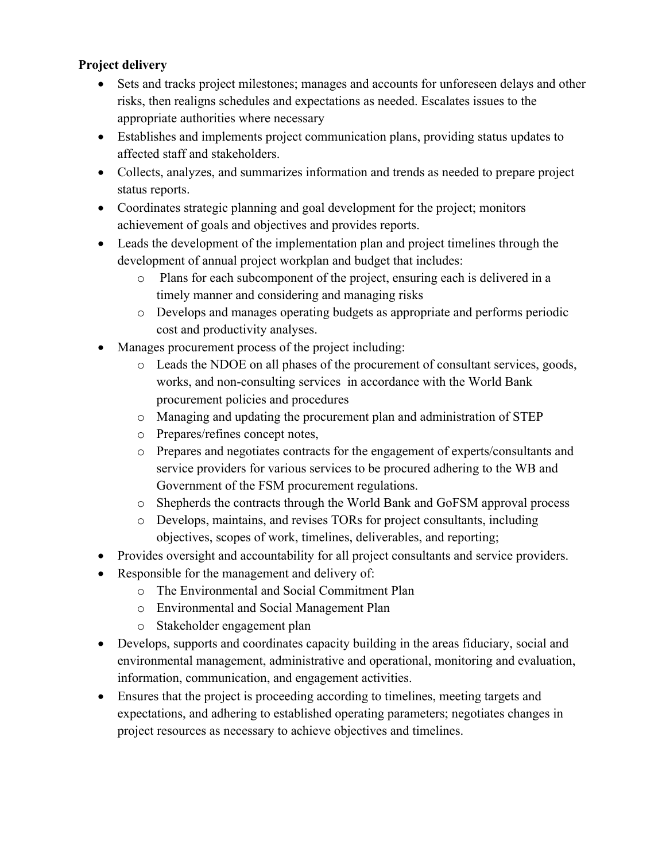## **Project delivery**

- Sets and tracks project milestones; manages and accounts for unforeseen delays and other risks, then realigns schedules and expectations as needed. Escalates issues to the appropriate authorities where necessary
- Establishes and implements project communication plans, providing status updates to affected staff and stakeholders.
- Collects, analyzes, and summarizes information and trends as needed to prepare project status reports.
- Coordinates strategic planning and goal development for the project; monitors achievement of goals and objectives and provides reports.
- Leads the development of the implementation plan and project timelines through the development of annual project workplan and budget that includes:
	- o Plans for each subcomponent of the project, ensuring each is delivered in a timely manner and considering and managing risks
	- o Develops and manages operating budgets as appropriate and performs periodic cost and productivity analyses.
- Manages procurement process of the project including:
	- o Leads the NDOE on all phases of the procurement of consultant services, goods, works, and non-consulting services in accordance with the World Bank procurement policies and procedures
	- o Managing and updating the procurement plan and administration of STEP
	- o Prepares/refines concept notes,
	- o Prepares and negotiates contracts for the engagement of experts/consultants and service providers for various services to be procured adhering to the WB and Government of the FSM procurement regulations.
	- o Shepherds the contracts through the World Bank and GoFSM approval process
	- o Develops, maintains, and revises TORs for project consultants, including objectives, scopes of work, timelines, deliverables, and reporting;
- Provides oversight and accountability for all project consultants and service providers.
- Responsible for the management and delivery of:
	- o The Environmental and Social Commitment Plan
	- o Environmental and Social Management Plan
	- o Stakeholder engagement plan
- Develops, supports and coordinates capacity building in the areas fiduciary, social and environmental management, administrative and operational, monitoring and evaluation, information, communication, and engagement activities.
- Ensures that the project is proceeding according to timelines, meeting targets and expectations, and adhering to established operating parameters; negotiates changes in project resources as necessary to achieve objectives and timelines.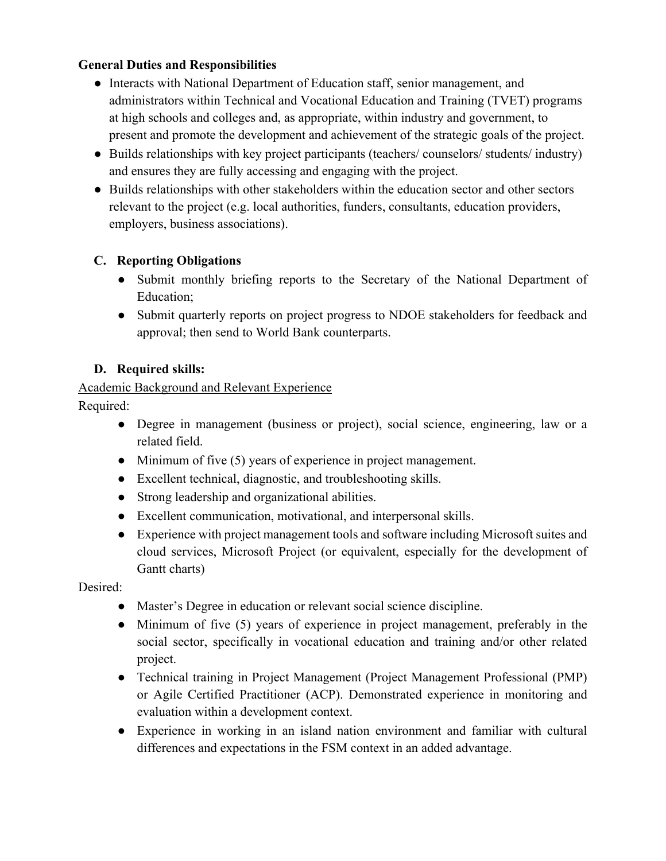## **General Duties and Responsibilities**

- Interacts with National Department of Education staff, senior management, and administrators within Technical and Vocational Education and Training (TVET) programs at high schools and colleges and, as appropriate, within industry and government, to present and promote the development and achievement of the strategic goals of the project.
- Builds relationships with key project participants (teachers/ counselors/ students/ industry) and ensures they are fully accessing and engaging with the project.
- Builds relationships with other stakeholders within the education sector and other sectors relevant to the project (e.g. local authorities, funders, consultants, education providers, employers, business associations).

## **C. Reporting Obligations**

- Submit monthly briefing reports to the Secretary of the National Department of Education;
- Submit quarterly reports on project progress to NDOE stakeholders for feedback and approval; then send to World Bank counterparts.

## **D. Required skills:**

## Academic Background and Relevant Experience

Required:

- Degree in management (business or project), social science, engineering, law or a related field.
- Minimum of five (5) years of experience in project management.
- Excellent technical, diagnostic, and troubleshooting skills.
- Strong leadership and organizational abilities.
- Excellent communication, motivational, and interpersonal skills.
- Experience with project management tools and software including Microsoft suites and cloud services, Microsoft Project (or equivalent, especially for the development of Gantt charts)

## Desired:

- Master's Degree in education or relevant social science discipline.
- Minimum of five (5) years of experience in project management, preferably in the social sector, specifically in vocational education and training and/or other related project.
- Technical training in Project Management (Project Management Professional (PMP) or Agile Certified Practitioner (ACP). Demonstrated experience in monitoring and evaluation within a development context.
- Experience in working in an island nation environment and familiar with cultural differences and expectations in the FSM context in an added advantage.